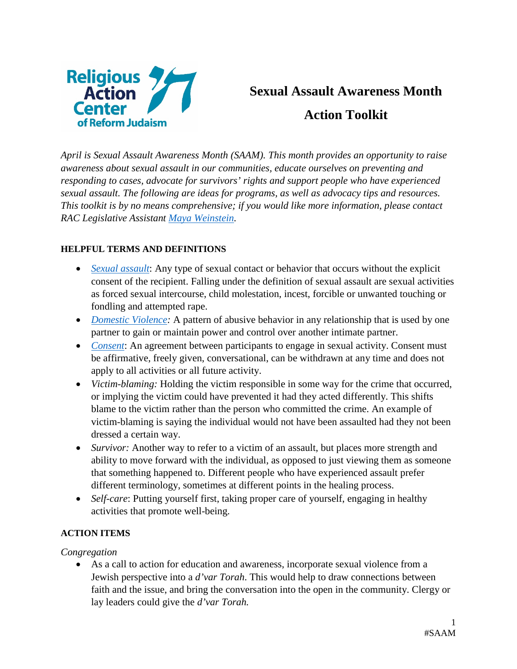

# **Sexual Assault Awareness Month Action Toolkit**

*April is Sexual Assault Awareness Month (SAAM). This month provides an opportunity to raise awareness about sexual assault in our communities, educate ourselves on preventing and responding to cases, advocate for survivors' rights and support people who have experienced sexual assault. The following are ideas for programs, as well as advocacy tips and resources. This toolkit is by no means comprehensive; if you would like more information, please contact RAC Legislative Assistant [Maya Weinstein.](mailto:mhweinstein@rac.org?subject=SAAM%20Actions)* 

## **HELPFUL TERMS AND DEFINITIONS**

- *[Sexual assault](https://www.justice.gov/ovw/sexual-assault):* Any type of sexual contact or behavior that occurs without the explicit consent of the recipient. Falling under the definition of sexual assault are sexual activities as forced sexual intercourse, child molestation, incest, forcible or unwanted touching or fondling and attempted rape.
- *[Domestic Violence:](https://www.justice.gov/ovw/domestic-violence)* A pattern of abusive behavior in any relationship that is used by one partner to gain or maintain power and control over another intimate partner.
- *[Consent](https://www.rainn.org/articles/what-is-consent)*: An agreement between participants to engage in sexual activity. Consent must be affirmative, freely given, conversational, can be withdrawn at any time and does not apply to all activities or all future activity.
- *Victim-blaming:* Holding the victim responsible in some way for the crime that occurred, or implying the victim could have prevented it had they acted differently. This shifts blame to the victim rather than the person who committed the crime. An example of victim-blaming is saying the individual would not have been assaulted had they not been dressed a certain way.
- *Survivor:* Another way to refer to a victim of an assault, but places more strength and ability to move forward with the individual, as opposed to just viewing them as someone that something happened to. Different people who have experienced assault prefer different terminology, sometimes at different points in the healing process.
- *Self-care*: Putting yourself first, taking proper care of yourself, engaging in healthy activities that promote well-being.

## **ACTION ITEMS**

*Congregation*

• As a call to action for education and awareness, incorporate sexual violence from a Jewish perspective into a *d'var Torah*. This would help to draw connections between faith and the issue, and bring the conversation into the open in the community. Clergy or lay leaders could give the *d'var Torah.*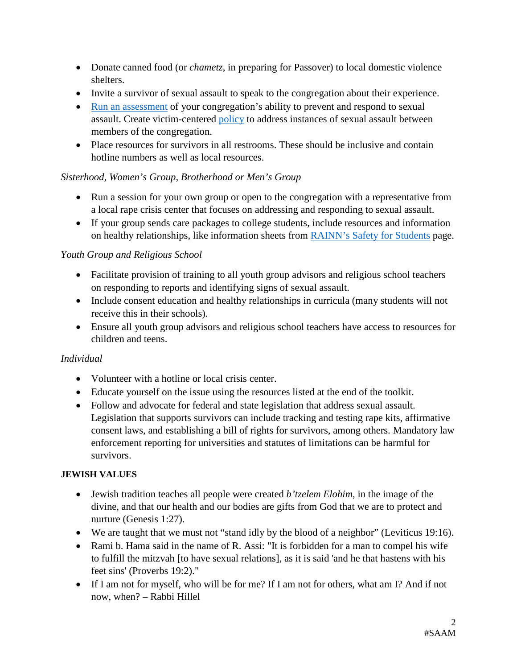- Donate canned food (or *chametz*, in preparing for Passover) to local domestic violence shelters.
- Invite a survivor of sexual assault to speak to the congregation about their experience.
- [Run an assessment](http://www.kcsarc.org/sites/default/files/Education%20-%20Interfaith%20-%20Organizational%20Assessment.pdf) of your congregation's ability to prevent and respond to sexual assault. Create victim-centered [policy](http://religiousinstitute.org/safer-congregations/best-practices/) to address instances of sexual assault between members of the congregation.
- Place resources for survivors in all restrooms. These should be inclusive and contain hotline numbers as well as local resources.

## *Sisterhood, Women's Group, Brotherhood or Men's Group*

- Run a session for your own group or open to the congregation with a representative from a local rape crisis center that focuses on addressing and responding to sexual assault.
- If your group sends care packages to college students, include resources and information on healthy relationships, like information sheets from [RAINN's Safety for Students](https://www.rainn.org/safety-students) page.

## *Youth Group and Religious School*

- Facilitate provision of training to all youth group advisors and religious school teachers on responding to reports and identifying signs of sexual assault.
- Include consent education and healthy relationships in curricula (many students will not receive this in their schools).
- Ensure all youth group advisors and religious school teachers have access to resources for children and teens.

# *Individual*

- Volunteer with a hotline or local crisis center.
- Educate yourself on the issue using the resources listed at the end of the toolkit.
- Follow and advocate for federal and state legislation that address sexual assault. Legislation that supports survivors can include tracking and testing rape kits, affirmative consent laws, and establishing a bill of rights for survivors, among others. Mandatory law enforcement reporting for universities and statutes of limitations can be harmful for survivors.

# **JEWISH VALUES**

- Jewish tradition teaches all people were created *b'tzelem Elohim*, in the image of the divine, and that our health and our bodies are gifts from God that we are to protect and nurture (Genesis 1:27).
- We are taught that we must not "stand idly by the blood of a neighbor" (Leviticus 19:16).
- Rami b. Hama said in the name of R. Assi: "It is forbidden for a man to compel his wife to fulfill the mitzvah [to have sexual relations], as it is said 'and he that hastens with his feet sins' (Proverbs 19:2)."
- If I am not for myself, who will be for me? If I am not for others, what am I? And if not now, when? – Rabbi Hillel